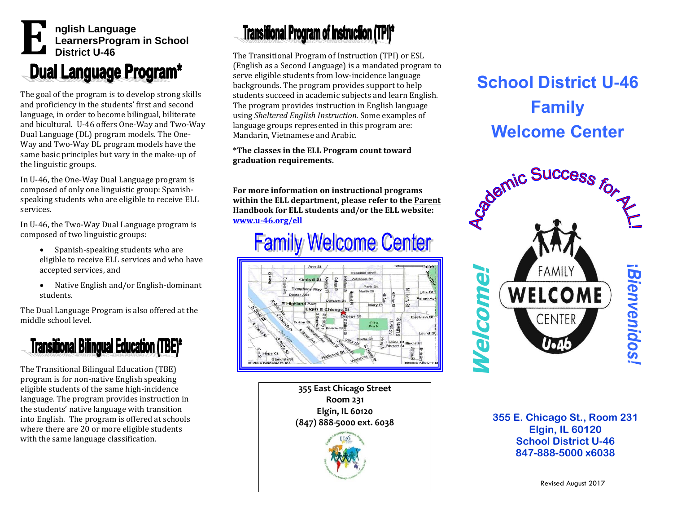#### **nglish Language LearnersProgram in School District U-46 E**

The goal of the program is to develop strong skills and proficiency in the students' first and second language, in order to become bilingual, biliterate and bicultural. U-46 offers One-Way and Two-Way Dual Language (DL) program models. The One-Way and Two-Way DL program models have the same basic principles but vary in the make-up of the linguistic groups.

In U-46, the One-Way Dual Language program is composed of only one linguistic group: Spanishspeaking students who are eligible to receive ELL services.

In U-46, the Two-Way Dual Language program is composed of two linguistic groups:

- Spanish-speaking students who are eligible to receive ELL services and who have accepted services, and
- Native English and/or English-dominant students.

The Dual Language Program is also offered at the middle school level.

### **Transitional Bilingual Education (TBE)\***

The Transitional Bilingual Education (TBE) program is for non-native English speaking eligible students of the same high-incidence language. The program provides instruction in the students' native language with transition into English. The program is offered at schools where there are 20 or more eligible students with the same language classification.

## **Transitional Program of Instruction (TPI)\***

The Transitional Program of Instruction (TPI) or ESL (English as a Second Language) is a mandated program to serve eligible students from low-incidence language backgrounds. The program provides support to help students succeed in academic subjects and learn English. The program provides instruction in English language using *Sheltered English Instruction.* Some examples of language groups represented in this program are: Mandarin, Vietnamese and Arabic.

**\*The classes in the ELL Program count toward graduation requirements.**

**For more information on instructional programs within the ELL department, please refer to the Parent Handbook for ELL students and/or the ELL website: [www.u-46.org/ell](http://www.u-46.org/ell)**

# **Family Welcome Center**



**355 East Chicago Street Room 231 Elgin, IL 60120 (847) 888-5000 ext. 6038**

# **School District U-46 Family Welcome Center**



**355 E. Chicago St., Room 231 Elgin, IL 60120 School District U-46 847-888-5000 x6038**

Revised August 2017